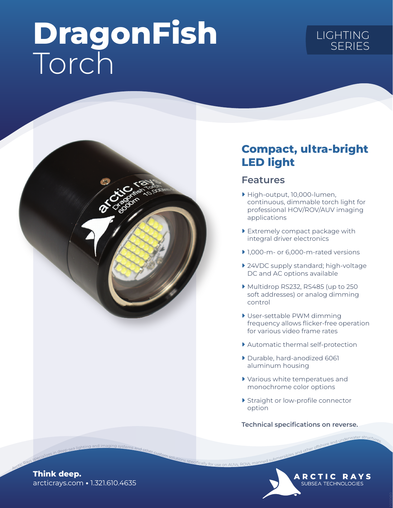# DragonFish Torch

## LIGHTING **SERIES**



### Compact, ultra-bright LED light

#### Features

- ▶ High-output, 10,000-lumen, continuous, dimmable torch light for professional HOV/ROV/AUV imaging applications
- ▶ Extremely compact package with integral driver electronics
- ▶ 1,000-m- or 6,000-m-rated versions
- ▶ 24VDC supply standard; high-voltage DC and AC options available
- ▶ Multidrop RS232, RS485 (up to 250 soft addresses) or analog dimming control
- ▶ User-settable PWM dimming frequency allows flicker-free operation for various video frame rates
- ▶ Automatic thermal self-protection
- ▶ Durable, hard-anodized 6061 aluminum housing
- ▶ Various white temperatues and monochrome color options
- ▶ Straight or low-profile connector option

Technical specifications on reverse.

**ARCTIC RAYS** SUBSEA TECHNOLOGIES

arcticrays.com • 1.321.610.4635 Think deep. Arctic Rays specializes in deep-sea lighting and imaging systems and other custom solutions specifically for use on AUVs, ROVs, manned submersibles and other offshore and underwater structures.